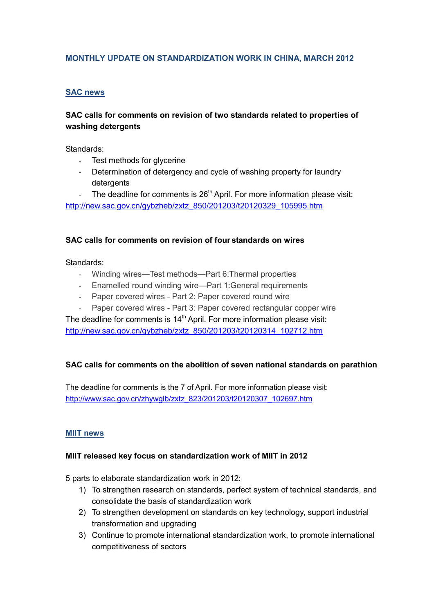## **MONTHLY UPDATE ON STANDARDIZATION WORK IN CHINA, MARCH 2012**

### **SAC news**

## **SAC calls for comments on revision of two standards related to properties of washing detergents**

Standards:

- Test methods for glycerine
- Determination of detergency and cycle of washing property for laundry detergents

The deadline for comments is  $26<sup>th</sup>$  April. For more information please visit: [http://new.sac.gov.cn/gybzheb/zxtz\\_850/201203/t20120329\\_105995.htm](http://new.sac.gov.cn/gybzheb/zxtz_850/201203/t20120329_105995.htm)

#### **SAC calls for comments on revision of four standards on wires**

Standards:

- Winding wires—Test methods—Part 6:Thermal properties
- Enamelled round winding wire—Part 1:General requirements
- Paper covered wires Part 2: Paper covered round wire
- Paper covered wires Part 3: Paper covered rectangular copper wire

The deadline for comments is  $14<sup>th</sup>$  April. For more information please visit: [http://new.sac.gov.cn/gybzheb/zxtz\\_850/201203/t20120314\\_102712.htm](http://new.sac.gov.cn/gybzheb/zxtz_850/201203/t20120314_102712.htm)

#### **SAC calls for comments on the abolition of seven national standards on parathion**

The deadline for comments is the 7 of April. For more information please visit: [http://www.sac.gov.cn/zhywglb/zxtz\\_823/201203/t20120307\\_102697.htm](http://www.sac.gov.cn/zhywglb/zxtz_823/201203/t20120307_102697.htm)

#### **MIIT news**

#### **MIIT released key focus on standardization work of MIIT in 2012**

5 parts to elaborate standardization work in 2012:

- 1) To strengthen research on standards, perfect system of technical standards, and consolidate the basis of standardization work
- 2) To strengthen development on standards on key technology, support industrial transformation and upgrading
- 3) Continue to promote international standardization work, to promote international competitiveness of sectors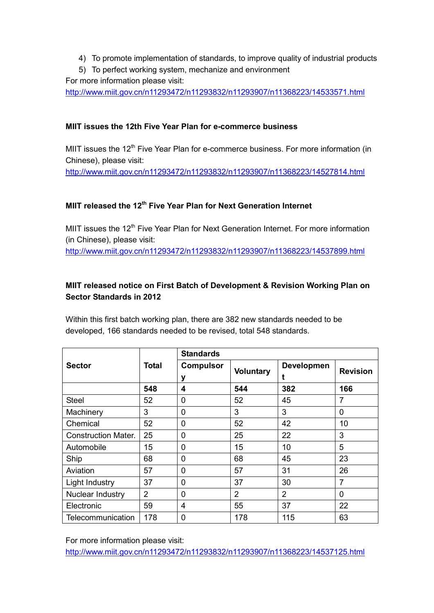- 4) To promote implementation of standards, to improve quality of industrial products
- 5) To perfect working system, mechanize and environment

For more information please visit:

<http://www.miit.gov.cn/n11293472/n11293832/n11293907/n11368223/14533571.html>

# **MIIT issues the 12th Five Year Plan for e-commerce business**

MIIT issues the 12<sup>th</sup> Five Year Plan for e-commerce business. For more information (in Chinese), please visit:

<http://www.miit.gov.cn/n11293472/n11293832/n11293907/n11368223/14527814.html>

# **MIIT released the 12<sup>th</sup> Five Year Plan for Next Generation Internet**

MIIT issues the 12<sup>th</sup> Five Year Plan for Next Generation Internet. For more information (in Chinese), please visit:

<http://www.miit.gov.cn/n11293472/n11293832/n11293907/n11368223/14537899.html>

# **MIIT released notice on First Batch of Development & Revision Working Plan on Sector Standards in 2012**

Within this first batch working plan, there are 382 new standards needed to be developed, 166 standards needed to be revised, total 548 standards.

|                            | Total          | <b>Standards</b>      |                  |                   |                 |
|----------------------------|----------------|-----------------------|------------------|-------------------|-----------------|
| <b>Sector</b>              |                | <b>Compulsor</b><br>y | <b>Voluntary</b> | <b>Developmen</b> | <b>Revision</b> |
|                            | 548            | 4                     | 544              | 382               | 166             |
| <b>Steel</b>               | 52             | $\overline{0}$        | 52               | 45                | 7               |
| Machinery                  | 3              | 0                     | 3                | 3                 | 0               |
| Chemical                   | 52             | $\mathbf 0$           | 52               | 42                | 10              |
| <b>Construction Mater.</b> | 25             | $\mathbf 0$           | 25               | 22                | 3               |
| Automobile                 | 15             | $\mathbf 0$           | 15               | 10                | 5               |
| Ship                       | 68             | 0                     | 68               | 45                | 23              |
| Aviation                   | 57             | $\mathbf 0$           | 57               | 31                | 26              |
| Light Industry             | 37             | 0                     | 37               | 30                | 7               |
| Nuclear Industry           | $\overline{2}$ | $\mathbf 0$           | $\overline{2}$   | $\overline{2}$    | $\mathbf{0}$    |
| Electronic                 | 59             | 4                     | 55               | 37                | 22              |
| Telecommunication          | 178            | $\mathbf 0$           | 178              | 115               | 63              |

For more information please visit:

<http://www.miit.gov.cn/n11293472/n11293832/n11293907/n11368223/14537125.html>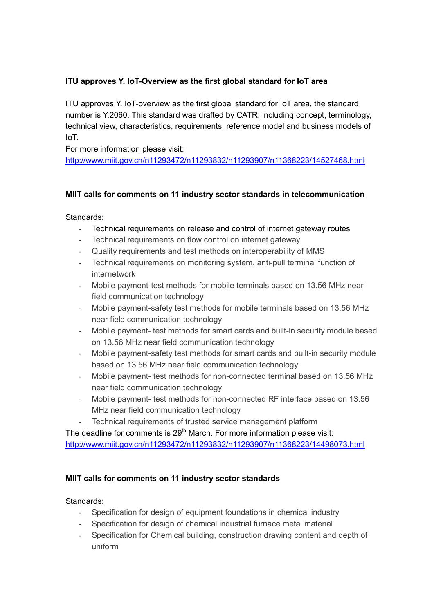# **ITU approves Y. IoT-Overview as the first global standard for IoT area**

ITU approves Y. IoT-overview as the first global standard for IoT area, the standard number is Y.2060. This standard was drafted by CATR; including concept, terminology, technical view, characteristics, requirements, reference model and business models of IoT.

For more information please visit:

<http://www.miit.gov.cn/n11293472/n11293832/n11293907/n11368223/14527468.html>

## **MIIT calls for comments on 11 industry sector standards in telecommunication**

Standards:

- Technical requirements on release and control of internet gateway routes
- Technical requirements on flow control on internet gateway
- Quality requirements and test methods on interoperability of MMS
- Technical requirements on monitoring system, anti-pull terminal function of internetwork
- Mobile payment-test methods for mobile terminals based on 13.56 MHz near field communication technology
- Mobile payment-safety test methods for mobile terminals based on 13.56 MHz near field communication technology
- Mobile payment- test methods for smart cards and built-in security module based on 13.56 MHz near field communication technology
- Mobile payment-safety test methods for smart cards and built-in security module based on 13.56 MHz near field communication technology
- Mobile payment- test methods for non-connected terminal based on 13.56 MHz near field communication technology
- Mobile payment- test methods for non-connected RF interface based on 13.56 MHz near field communication technology
- Technical requirements of trusted service management platform

The deadline for comments is  $29<sup>th</sup>$  March. For more information please visit: <http://www.miit.gov.cn/n11293472/n11293832/n11293907/n11368223/14498073.html>

## **MIIT calls for comments on 11 industry sector standards**

Standards:

- Specification for design of equipment foundations in chemical industry
- Specification for design of chemical industrial furnace metal material
- Specification for Chemical building, construction drawing content and depth of uniform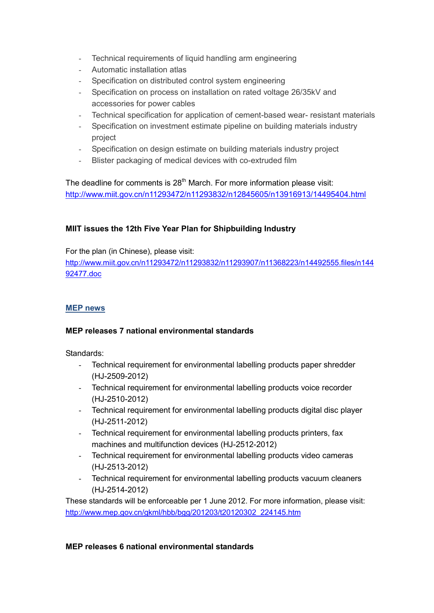- Technical requirements of liquid handling arm engineering
- Automatic installation atlas
- Specification on distributed control system engineering
- Specification on process on installation on rated voltage 26/35kV and accessories for power cables
- Technical specification for application of cement-based wear- resistant materials
- Specification on investment estimate pipeline on building materials industry project
- Specification on design estimate on building materials industry project
- Blister packaging of medical devices with co-extruded film

The deadline for comments is  $28<sup>th</sup>$  March. For more information please visit: <http://www.miit.gov.cn/n11293472/n11293832/n12845605/n13916913/14495404.html>

## **MIIT issues the 12th Five Year Plan for Shipbuilding Industry**

For the plan (in Chinese), please visit:

[http://www.miit.gov.cn/n11293472/n11293832/n11293907/n11368223/n14492555.files/n144](http://www.miit.gov.cn/n11293472/n11293832/n11293907/n11368223/n14492555.files/n14492477.doc) [92477.doc](http://www.miit.gov.cn/n11293472/n11293832/n11293907/n11368223/n14492555.files/n14492477.doc)

### **MEP news**

### **MEP releases 7 national environmental standards**

Standards:

- Technical requirement for environmental labelling products paper shredder (HJ-2509-2012)
- Technical requirement for environmental labelling products voice recorder (HJ-2510-2012)
- Technical requirement for environmental labelling products digital disc player (HJ-2511-2012)
- Technical requirement for environmental labelling products printers, fax machines and multifunction devices (HJ-2512-2012)
- Technical requirement for environmental labelling products video cameras (HJ-2513-2012)
- Technical requirement for environmental labelling products vacuum cleaners (HJ-2514-2012)

These standards will be enforceable per 1 June 2012. For more information, please visit: [http://www.mep.gov.cn/gkml/hbb/bgg/201203/t20120302\\_224145.htm](http://www.mep.gov.cn/gkml/hbb/bgg/201203/t20120302_224145.htm)

#### **MEP releases 6 national environmental standards**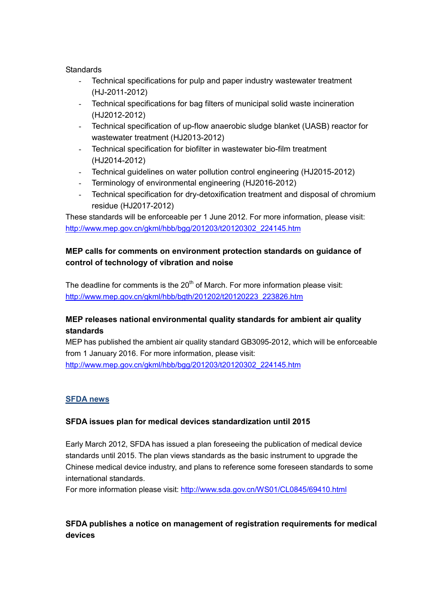#### **Standards**

- Technical specifications for pulp and paper industry wastewater treatment (HJ-2011-2012)
- Technical specifications for bag filters of municipal solid waste incineration (HJ2012-2012)
- Technical specification of up-flow anaerobic sludge blanket (UASB) reactor for wastewater treatment (HJ2013-2012)
- Technical specification for biofilter in wastewater bio-film treatment (HJ2014-2012)
- Technical guidelines on water pollution control engineering (HJ2015-2012)
- Terminology of environmental engineering (HJ2016-2012)
- Technical specification for dry-detoxification treatment and disposal of chromium residue (HJ2017-2012)

These standards will be enforceable per 1 June 2012. For more information, please visit: [http://www.mep.gov.cn/gkml/hbb/bgg/201203/t20120302\\_224145.htm](http://www.mep.gov.cn/gkml/hbb/bgg/201203/t20120302_224145.htm)

# **MEP calls for comments on environment protection standards on guidance of control of technology of vibration and noise**

The deadline for comments is the  $20<sup>th</sup>$  of March. For more information please visit: [http://www.mep.gov.cn/gkml/hbb/bgth/201202/t20120223\\_223826.htm](http://www.mep.gov.cn/gkml/hbb/bgth/201202/t20120223_223826.htm)

# **MEP releases national environmental quality standards for ambient air quality standards**

MEP has published the ambient air quality standard GB3095-2012, which will be enforceable from 1 January 2016. For more information, please visit: [http://www.mep.gov.cn/gkml/hbb/bgg/201203/t20120302\\_224145.htm](http://www.mep.gov.cn/gkml/hbb/bgg/201203/t20120302_224145.htm)

## **SFDA news**

## **SFDA issues plan for medical devices standardization until 2015**

Early March 2012, SFDA has issued a plan foreseeing the publication of medical device standards until 2015. The plan views standards as the basic instrument to upgrade the Chinese medical device industry, and plans to reference some foreseen standards to some international standards.

For more information please visit:<http://www.sda.gov.cn/WS01/CL0845/69410.html>

# **SFDA publishes a notice on management of registration requirements for medical devices**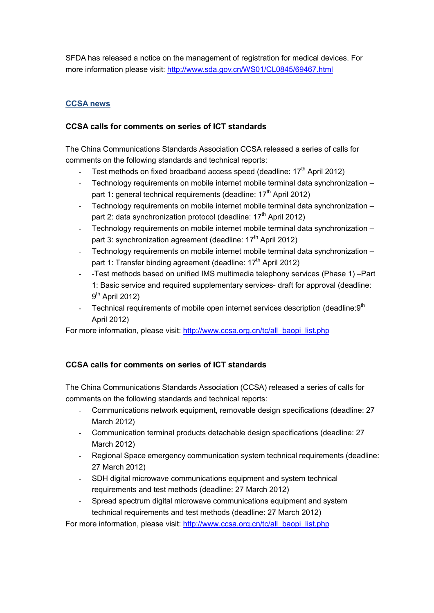SFDA has released a notice on the management of registration for medical devices. For more information please visit:<http://www.sda.gov.cn/WS01/CL0845/69467.html>

# **CCSA news**

### **CCSA calls for comments on series of ICT standards**

The China Communications Standards Association CCSA released a series of calls for comments on the following standards and technical reports:

- Test methods on fixed broadband access speed (deadline: 17<sup>th</sup> April 2012)
- Technology requirements on mobile internet mobile terminal data synchronization part 1: general technical requirements (deadline:  $17<sup>th</sup>$  April 2012)
- Technology requirements on mobile internet mobile terminal data synchronization part 2: data synchronization protocol (deadline:  $17<sup>th</sup>$  April 2012)
- Technology requirements on mobile internet mobile terminal data synchronization part 3: synchronization agreement (deadline: 17<sup>th</sup> April 2012)
- Technology requirements on mobile internet mobile terminal data synchronization part 1: Transfer binding agreement (deadline: 17<sup>th</sup> April 2012)
- -Test methods based on unified IMS multimedia telephony services (Phase 1) –Part 1: Basic service and required supplementary services- draft for approval (deadline:  $9<sup>th</sup>$  April 2012)
- Technical requirements of mobile open internet services description (deadline:9<sup>th</sup> April 2012)

For more information, please visit: [http://www.ccsa.org.cn/tc/all\\_baopi\\_list.php](http://www.ccsa.org.cn/tc/all_baopi_list.php)

## **CCSA calls for comments on series of ICT standards**

The China Communications Standards Association (CCSA) released a series of calls for comments on the following standards and technical reports:

- Communications network equipment, removable design specifications (deadline: 27 March 2012)
- Communication terminal products detachable design specifications (deadline: 27 March 2012)
- Regional Space emergency communication system technical requirements (deadline: 27 March 2012)
- SDH digital microwave communications equipment and system technical requirements and test methods (deadline: 27 March 2012)
- Spread spectrum digital microwave communications equipment and system technical requirements and test methods (deadline: 27 March 2012)

For more information, please visit: [http://www.ccsa.org.cn/tc/all\\_baopi\\_list.php](http://www.ccsa.org.cn/tc/all_baopi_list.php)